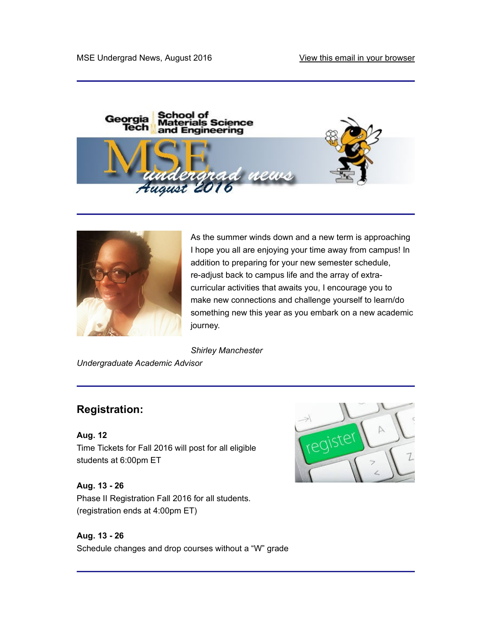



As the summer winds down and a new term is approaching I hope you all are enjoying your time away from campus! In addition to preparing for your new semester schedule, re-adjust back to campus life and the array of extracurricular activities that awaits you, I encourage you to make new connections and challenge yourself to learn/do something new this year as you embark on a new academic journey.

Shirley Manchester

Undergraduate Academic Advisor

## Registration:

Aug. 12 Aug. 12<br>Time Tickets for Fall 2016 will post for all eligible (register students at 6:00pm ET

Aug. 13 - 26 Phase II Registration Fall 2016 for all students. (registration ends at 4:00pm ET)



Schedule changes and drop courses without a "W" grade

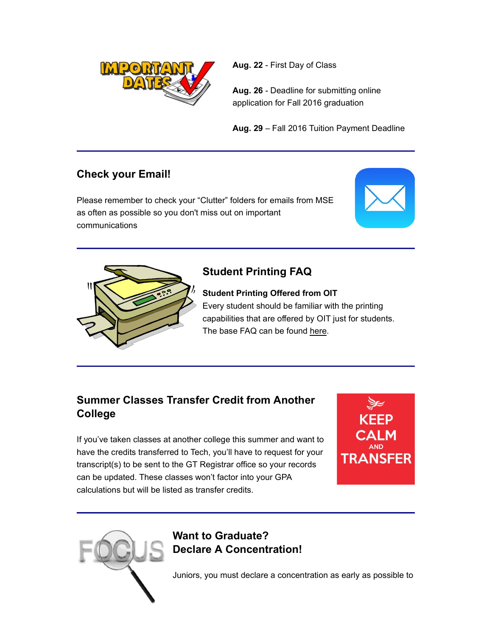

Aug. 22 - First Day of Class

Aug. 26 - Deadline for submitting online application for Fall 2016 graduation

Aug. 29 – Fall 2016 Tuition Payment Deadline

## Check your Email!

Please remember to check your "Clutter" folders for emails from MSE as often as possible so you don't miss out on important communications





## Student Printing FAQ

Student Printing Offered from OIT Every student should be familiar with the printing capabilities that are offered by OIT just for students. The base FAQ can be found here.

## Summer Classes Transfer Credit from Another College

If you've taken classes at another college this summer and want to **CALM** have the credits transferred to Tech, you'll have to request for your<br>
TRANSFER transcript(s) to be sent to the GT Registrar office so your records can be updated. These classes won't factor into your GPA calculations but will be listed as transfer credits.



# Want to Graduate? Declare A Concentration!

Juniors, you must declare a concentration as early as possible to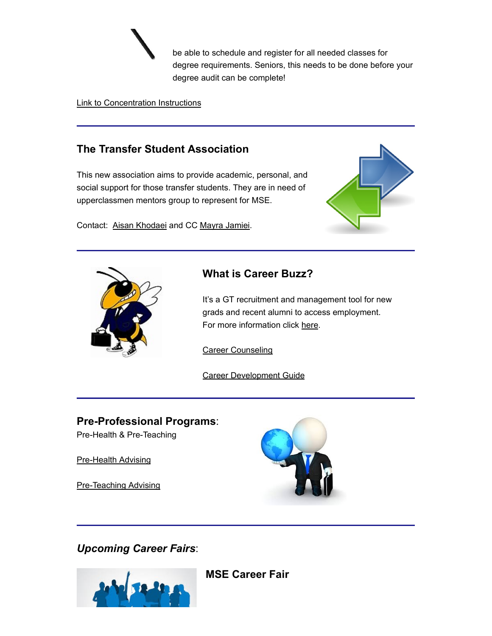be able to schedule and register for all needed classes for degree requirements. Seniors, this needs to be done before your degree audit can be complete!

#### Link to Concentration Instructions

### The Transfer Student Association

This new association aims to provide academic, personal, and social support for those transfer students. They are in need of upperclassmen mentors group to represent for MSE.

Contact: Aisan Khodaei and CC Mayra Jamiei.





#### What is Career Buzz?

It's a GT recruitment and management tool for new grads and recent alumni to access employment. For more information click here.

Career Counseling

Career Development Guide

#### Pre-Professional Programs:

Pre-Health & Pre-Teaching

Pre-Health Advising

Pre-Teaching Advising



Upcoming Career Fairs:



MSE Career Fair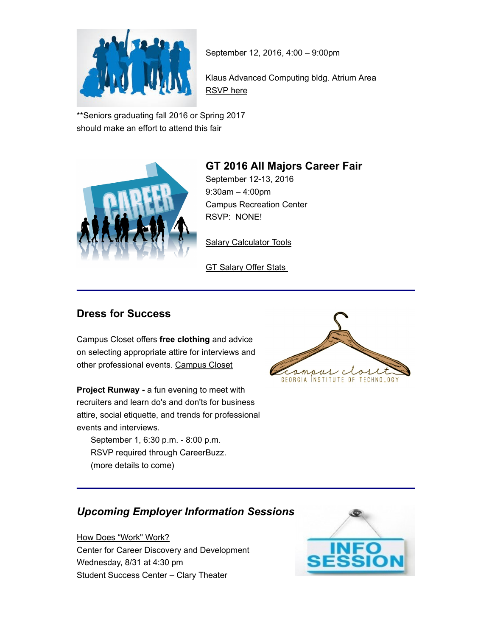

September 12, 2016, 4:00 – 9:00pm

Klaus Advanced Computing bldg. Atrium Area RSVP here

\*\*Seniors graduating fall 2016 or Spring 2017 should make an effort to attend this fair



## GT 2016 All Majors Career Fair

September 12-13, 2016 9:30am – 4:00pm Campus Recreation Center RSVP: NONE!

**Salary Calculator Tools** 

**GT Salary Offer Stats** 

#### Dress for Success

Campus Closet offers free clothing and advice on selecting appropriate attire for interviews and other professional events. Campus Closet

**Project Runway - a fun evening to meet with** recruiters and learn do's and don'ts for business attire, social etiquette, and trends for professional events and interviews.

 September 1, 6:30 p.m. - 8:00 p.m. RSVP required through CareerBuzz. (more details to come)



## Upcoming Employer Information Sessions

How Does "Work" Work? Center for Career Discovery and Development Wednesday, 8/31 at 4:30 pm Student Success Center – Clary Theater

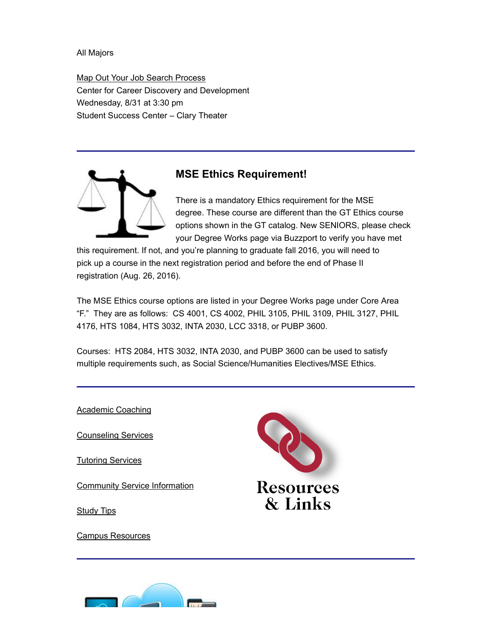All Majors

Map Out Your Job Search Process Center for Career Discovery and Development Wednesday, 8/31 at 3:30 pm Student Success Center – Clary Theater



#### MSE Ethics Requirement!

There is a mandatory Ethics requirement for the MSE degree. These course are different than the GT Ethics course options shown in the GT catalog. New SENIORS, please check your Degree Works page via Buzzport to verify you have met

this requirement. If not, and you're planning to graduate fall 2016, you will need to pick up a course in the next registration period and before the end of Phase II registration (Aug. 26, 2016).

The MSE Ethics course options are listed in your Degree Works page under Core Area "F." They are as follows: CS 4001, CS 4002, PHIL 3105, PHIL 3109, PHIL 3127, PHIL 4176, HTS 1084, HTS 3032, INTA 2030, LCC 3318, or PUBP 3600.

Courses: HTS 2084, HTS 3032, INTA 2030, and PUBP 3600 can be used to satisfy multiple requirements such, as Social Science/Humanities Electives/MSE Ethics.

Academic Coaching

Counseling Services

Tutoring Services

Study Tips

Campus Resources